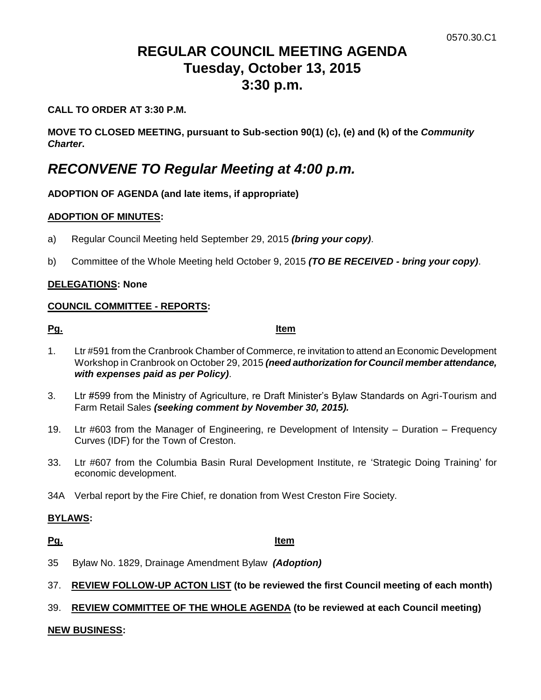# **REGULAR COUNCIL MEETING AGENDA Tuesday, October 13, 2015 3:30 p.m.**

## **CALL TO ORDER AT 3:30 P.M.**

**MOVE TO CLOSED MEETING, pursuant to Sub-section 90(1) (c), (e) and (k) of the** *Community Charter***.**

# *RECONVENE TO Regular Meeting at 4:00 p.m.*

# **ADOPTION OF AGENDA (and late items, if appropriate)**

### **ADOPTION OF MINUTES:**

- a) Regular Council Meeting held September 29, 2015 *(bring your copy)*.
- b) Committee of the Whole Meeting held October 9, 2015 *(TO BE RECEIVED - bring your copy)*.

### **DELEGATIONS: None**

### **COUNCIL COMMITTEE - REPORTS:**

**Pg. Item**

- 1. Ltr #591 from the Cranbrook Chamber of Commerce, re invitation to attend an Economic Development Workshop in Cranbrook on October 29, 2015 *(need authorization for Council member attendance, with expenses paid as per Policy)*.
- 3. Ltr #599 from the Ministry of Agriculture, re Draft Minister's Bylaw Standards on Agri-Tourism and Farm Retail Sales *(seeking comment by November 30, 2015).*
- 19. Ltr #603 from the Manager of Engineering, re Development of Intensity Duration Frequency Curves (IDF) for the Town of Creston.
- 33. Ltr #607 from the Columbia Basin Rural Development Institute, re 'Strategic Doing Training' for economic development.
- 34A Verbal report by the Fire Chief, re donation from West Creston Fire Society.

#### **BYLAWS:**

**Pg. Item**

- 35 Bylaw No. 1829, Drainage Amendment Bylaw *(Adoption)*
- 37. **REVIEW FOLLOW-UP ACTON LIST (to be reviewed the first Council meeting of each month)**

# 39. **REVIEW COMMITTEE OF THE WHOLE AGENDA (to be reviewed at each Council meeting)**

#### **NEW BUSINESS:**